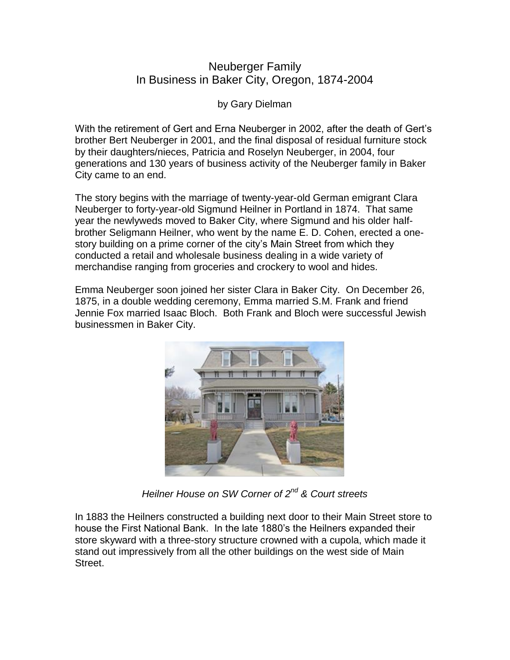## Neuberger Family In Business in Baker City, Oregon, 1874-2004

by Gary Dielman

With the retirement of Gert and Erna Neuberger in 2002, after the death of Gert's brother Bert Neuberger in 2001, and the final disposal of residual furniture stock by their daughters/nieces, Patricia and Roselyn Neuberger, in 2004, four generations and 130 years of business activity of the Neuberger family in Baker City came to an end.

The story begins with the marriage of twenty-year-old German emigrant Clara Neuberger to forty-year-old Sigmund Heilner in Portland in 1874. That same year the newlyweds moved to Baker City, where Sigmund and his older halfbrother Seligmann Heilner, who went by the name E. D. Cohen, erected a onestory building on a prime corner of the city's Main Street from which they conducted a retail and wholesale business dealing in a wide variety of merchandise ranging from groceries and crockery to wool and hides.

Emma Neuberger soon joined her sister Clara in Baker City. On December 26, 1875, in a double wedding ceremony, Emma married S.M. Frank and friend Jennie Fox married Isaac Bloch. Both Frank and Bloch were successful Jewish businessmen in Baker City.



*Heilner House on SW Corner of 2nd & Court streets*

In 1883 the Heilners constructed a building next door to their Main Street store to house the First National Bank. In the late 1880's the Heilners expanded their store skyward with a three-story structure crowned with a cupola, which made it stand out impressively from all the other buildings on the west side of Main Street.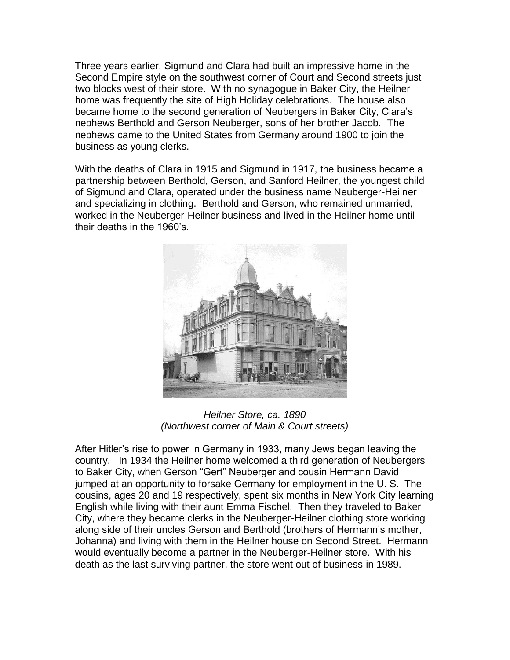Three years earlier, Sigmund and Clara had built an impressive home in the Second Empire style on the southwest corner of Court and Second streets just two blocks west of their store. With no synagogue in Baker City, the Heilner home was frequently the site of High Holiday celebrations. The house also became home to the second generation of Neubergers in Baker City, Clara's nephews Berthold and Gerson Neuberger, sons of her brother Jacob. The nephews came to the United States from Germany around 1900 to join the business as young clerks.

With the deaths of Clara in 1915 and Sigmund in 1917, the business became a partnership between Berthold, Gerson, and Sanford Heilner, the youngest child of Sigmund and Clara, operated under the business name Neuberger-Heilner and specializing in clothing. Berthold and Gerson, who remained unmarried, worked in the Neuberger-Heilner business and lived in the Heilner home until their deaths in the 1960's.



*Heilner Store, ca. 1890 (Northwest corner of Main & Court streets)*

After Hitler's rise to power in Germany in 1933, many Jews began leaving the country. In 1934 the Heilner home welcomed a third generation of Neubergers to Baker City, when Gerson "Gert" Neuberger and cousin Hermann David jumped at an opportunity to forsake Germany for employment in the U. S. The cousins, ages 20 and 19 respectively, spent six months in New York City learning English while living with their aunt Emma Fischel. Then they traveled to Baker City, where they became clerks in the Neuberger-Heilner clothing store working along side of their uncles Gerson and Berthold (brothers of Hermann's mother, Johanna) and living with them in the Heilner house on Second Street. Hermann would eventually become a partner in the Neuberger-Heilner store. With his death as the last surviving partner, the store went out of business in 1989.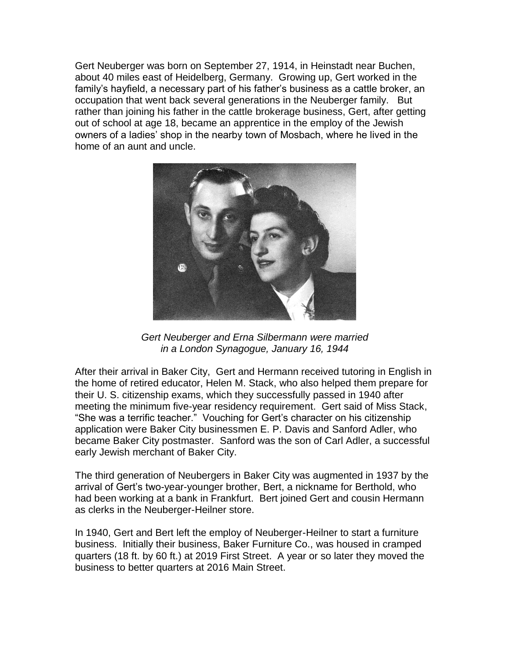Gert Neuberger was born on September 27, 1914, in Heinstadt near Buchen, about 40 miles east of Heidelberg, Germany. Growing up, Gert worked in the family's hayfield, a necessary part of his father's business as a cattle broker, an occupation that went back several generations in the Neuberger family. But rather than joining his father in the cattle brokerage business, Gert, after getting out of school at age 18, became an apprentice in the employ of the Jewish owners of a ladies' shop in the nearby town of Mosbach, where he lived in the home of an aunt and uncle.



*Gert Neuberger and Erna Silbermann were married in a London Synagogue, January 16, 1944* 

After their arrival in Baker City, Gert and Hermann received tutoring in English in the home of retired educator, Helen M. Stack, who also helped them prepare for their U. S. citizenship exams, which they successfully passed in 1940 after meeting the minimum five-year residency requirement. Gert said of Miss Stack, "She was a terrific teacher." Vouching for Gert's character on his citizenship application were Baker City businessmen E. P. Davis and Sanford Adler, who became Baker City postmaster. Sanford was the son of Carl Adler, a successful early Jewish merchant of Baker City.

The third generation of Neubergers in Baker City was augmented in 1937 by the arrival of Gert's two-year-younger brother, Bert, a nickname for Berthold, who had been working at a bank in Frankfurt. Bert joined Gert and cousin Hermann as clerks in the Neuberger-Heilner store.

In 1940, Gert and Bert left the employ of Neuberger-Heilner to start a furniture business. Initially their business, Baker Furniture Co., was housed in cramped quarters (18 ft. by 60 ft.) at 2019 First Street. A year or so later they moved the business to better quarters at 2016 Main Street.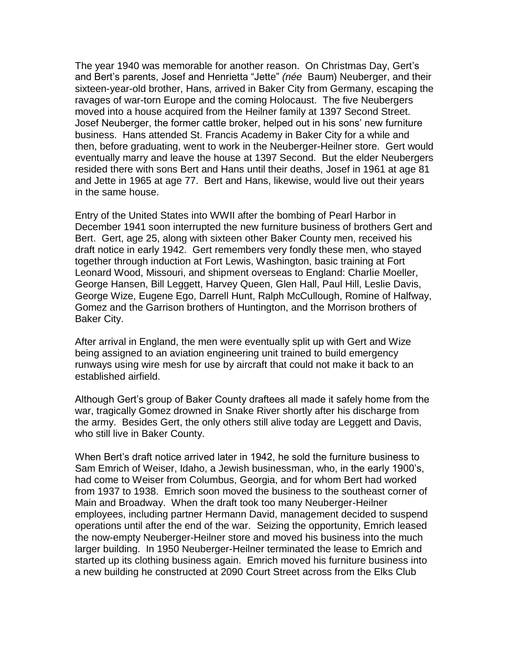The year 1940 was memorable for another reason. On Christmas Day, Gert's and Bert's parents, Josef and Henrietta "Jette" *(née* Baum) Neuberger, and their sixteen-year-old brother, Hans, arrived in Baker City from Germany, escaping the ravages of war-torn Europe and the coming Holocaust. The five Neubergers moved into a house acquired from the Heilner family at 1397 Second Street. Josef Neuberger, the former cattle broker, helped out in his sons' new furniture business. Hans attended St. Francis Academy in Baker City for a while and then, before graduating, went to work in the Neuberger-Heilner store. Gert would eventually marry and leave the house at 1397 Second. But the elder Neubergers resided there with sons Bert and Hans until their deaths, Josef in 1961 at age 81 and Jette in 1965 at age 77. Bert and Hans, likewise, would live out their years in the same house.

Entry of the United States into WWII after the bombing of Pearl Harbor in December 1941 soon interrupted the new furniture business of brothers Gert and Bert. Gert, age 25, along with sixteen other Baker County men, received his draft notice in early 1942. Gert remembers very fondly these men, who stayed together through induction at Fort Lewis, Washington, basic training at Fort Leonard Wood, Missouri, and shipment overseas to England: Charlie Moeller, George Hansen, Bill Leggett, Harvey Queen, Glen Hall, Paul Hill, Leslie Davis, George Wize, Eugene Ego, Darrell Hunt, Ralph McCullough, Romine of Halfway, Gomez and the Garrison brothers of Huntington, and the Morrison brothers of Baker City.

After arrival in England, the men were eventually split up with Gert and Wize being assigned to an aviation engineering unit trained to build emergency runways using wire mesh for use by aircraft that could not make it back to an established airfield.

Although Gert's group of Baker County draftees all made it safely home from the war, tragically Gomez drowned in Snake River shortly after his discharge from the army. Besides Gert, the only others still alive today are Leggett and Davis, who still live in Baker County.

When Bert's draft notice arrived later in 1942, he sold the furniture business to Sam Emrich of Weiser, Idaho, a Jewish businessman, who, in the early 1900's, had come to Weiser from Columbus, Georgia, and for whom Bert had worked from 1937 to 1938. Emrich soon moved the business to the southeast corner of Main and Broadway. When the draft took too many Neuberger-Heilner employees, including partner Hermann David, management decided to suspend operations until after the end of the war. Seizing the opportunity, Emrich leased the now-empty Neuberger-Heilner store and moved his business into the much larger building. In 1950 Neuberger-Heilner terminated the lease to Emrich and started up its clothing business again. Emrich moved his furniture business into a new building he constructed at 2090 Court Street across from the Elks Club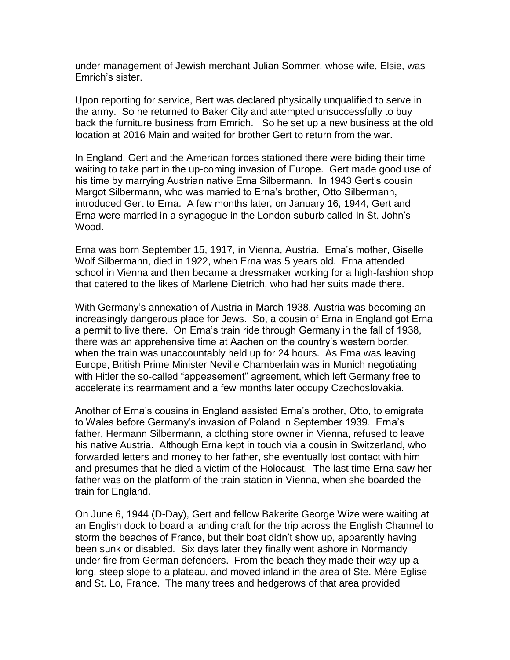under management of Jewish merchant Julian Sommer, whose wife, Elsie, was Emrich's sister.

Upon reporting for service, Bert was declared physically unqualified to serve in the army. So he returned to Baker City and attempted unsuccessfully to buy back the furniture business from Emrich. So he set up a new business at the old location at 2016 Main and waited for brother Gert to return from the war.

In England, Gert and the American forces stationed there were biding their time waiting to take part in the up-coming invasion of Europe. Gert made good use of his time by marrying Austrian native Erna Silbermann. In 1943 Gert's cousin Margot Silbermann, who was married to Erna's brother, Otto Silbermann, introduced Gert to Erna. A few months later, on January 16, 1944, Gert and Erna were married in a synagogue in the London suburb called In St. John's Wood.

Erna was born September 15, 1917, in Vienna, Austria. Erna's mother, Giselle Wolf Silbermann, died in 1922, when Erna was 5 years old. Erna attended school in Vienna and then became a dressmaker working for a high-fashion shop that catered to the likes of Marlene Dietrich, who had her suits made there.

With Germany's annexation of Austria in March 1938, Austria was becoming an increasingly dangerous place for Jews. So, a cousin of Erna in England got Erna a permit to live there. On Erna's train ride through Germany in the fall of 1938, there was an apprehensive time at Aachen on the country's western border, when the train was unaccountably held up for 24 hours. As Erna was leaving Europe, British Prime Minister Neville Chamberlain was in Munich negotiating with Hitler the so-called "appeasement" agreement, which left Germany free to accelerate its rearmament and a few months later occupy Czechoslovakia.

Another of Erna's cousins in England assisted Erna's brother, Otto, to emigrate to Wales before Germany's invasion of Poland in September 1939. Erna's father, Hermann Silbermann, a clothing store owner in Vienna, refused to leave his native Austria. Although Erna kept in touch via a cousin in Switzerland, who forwarded letters and money to her father, she eventually lost contact with him and presumes that he died a victim of the Holocaust. The last time Erna saw her father was on the platform of the train station in Vienna, when she boarded the train for England.

On June 6, 1944 (D-Day), Gert and fellow Bakerite George Wize were waiting at an English dock to board a landing craft for the trip across the English Channel to storm the beaches of France, but their boat didn't show up, apparently having been sunk or disabled. Six days later they finally went ashore in Normandy under fire from German defenders. From the beach they made their way up a long, steep slope to a plateau, and moved inland in the area of Ste. Mère Eglise and St. Lo, France. The many trees and hedgerows of that area provided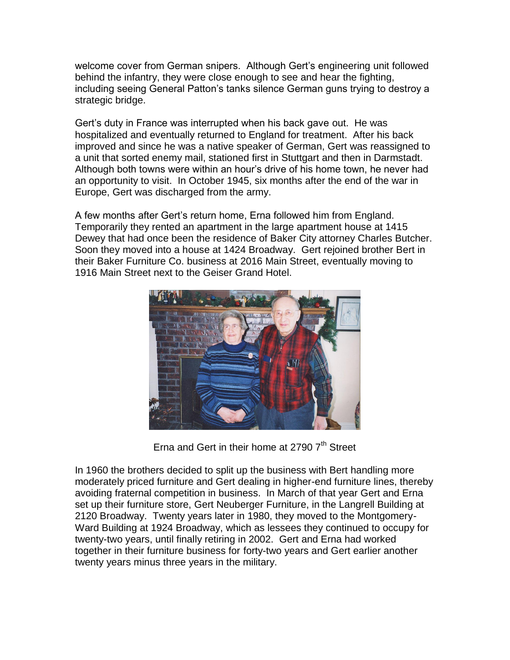welcome cover from German snipers. Although Gert's engineering unit followed behind the infantry, they were close enough to see and hear the fighting, including seeing General Patton's tanks silence German guns trying to destroy a strategic bridge.

Gert's duty in France was interrupted when his back gave out. He was hospitalized and eventually returned to England for treatment. After his back improved and since he was a native speaker of German, Gert was reassigned to a unit that sorted enemy mail, stationed first in Stuttgart and then in Darmstadt. Although both towns were within an hour's drive of his home town, he never had an opportunity to visit. In October 1945, six months after the end of the war in Europe, Gert was discharged from the army.

A few months after Gert's return home, Erna followed him from England. Temporarily they rented an apartment in the large apartment house at 1415 Dewey that had once been the residence of Baker City attorney Charles Butcher. Soon they moved into a house at 1424 Broadway. Gert rejoined brother Bert in their Baker Furniture Co. business at 2016 Main Street, eventually moving to 1916 Main Street next to the Geiser Grand Hotel.



Erna and Gert in their home at 2790  $7<sup>th</sup>$  Street

In 1960 the brothers decided to split up the business with Bert handling more moderately priced furniture and Gert dealing in higher-end furniture lines, thereby avoiding fraternal competition in business. In March of that year Gert and Erna set up their furniture store, Gert Neuberger Furniture, in the Langrell Building at 2120 Broadway. Twenty years later in 1980, they moved to the Montgomery-Ward Building at 1924 Broadway, which as lessees they continued to occupy for twenty-two years, until finally retiring in 2002. Gert and Erna had worked together in their furniture business for forty-two years and Gert earlier another twenty years minus three years in the military.